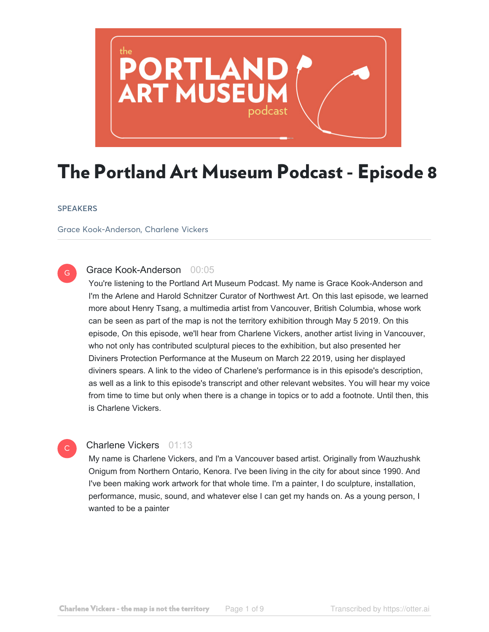

# The Portland Art Museum Podcast - Episode 8

#### **SPEAKERS**

G

Grace Kook-Anderson, Charlene Vickers

# Grace Kook-Anderson 00:05

You're listening to the Portland Art Museum Podcast. My name is Grace Kook-Anderson and I'm the Arlene and Harold Schnitzer Curator of Northwest Art. On this last episode, we learned more about Henry Tsang, a multimedia artist from Vancouver, British Columbia, whose work can be seen as part of the map is not the territory exhibition through May 5 2019. On this episode, On this episode, we'll hear from Charlene Vickers, another artist living in Vancouver, who not only has contributed sculptural pieces to the exhibition, but also presented her Diviners Protection Performance at the Museum on March 22 2019, using her displayed diviners spears. A link to the video of Charlene's performance is in this episode's description, as well as a link to this episode's transcript and other relevant websites. You will hear my voice from time to time but only when there is a change in topics or to add a footnote. Until then, this is Charlene Vickers.

# $\mathsf{C}^{\scriptscriptstyle{+}}$

# Charlene Vickers 01:13

My name is Charlene Vickers, and I'm a Vancouver based artist. Originally from Wauzhushk Onigum from Northern Ontario, Kenora. I've been living in the city for about since 1990. And I've been making work artwork for that whole time. I'm a painter, I do sculpture, installation, performance, music, sound, and whatever else I can get my hands on. As a young person, I wanted to be a painter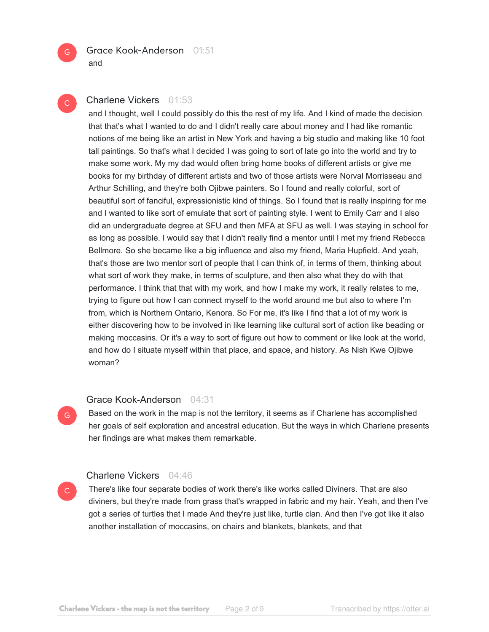

# $\mathsf{C}^{\scriptscriptstyle{+}}$

G

 $\mathsf{C}^{\mathbb{C}}$ 

# Charlene Vickers 01:53

and I thought, well I could possibly do this the rest of my life. And I kind of made the decision that that's what I wanted to do and I didn't really care about money and I had like romantic notions of me being like an artist in New York and having a big studio and making like 10 foot tall paintings. So that's what I decided I was going to sort of late go into the world and try to make some work. My my dad would often bring home books of different artists or give me books for my birthday of different artists and two of those artists were Norval Morrisseau and Arthur Schilling, and they're both Ojibwe painters. So I found and really colorful, sort of beautiful sort of fanciful, expressionistic kind of things. So I found that is really inspiring for me and I wanted to like sort of emulate that sort of painting style. I went to Emily Carr and I also did an undergraduate degree at SFU and then MFA at SFU as well. I was staying in school for as long as possible. I would say that I didn't really find a mentor until I met my friend Rebecca Bellmore. So she became like a big influence and also my friend, Maria Hupfield. And yeah, that's those are two mentor sort of people that I can think of, in terms of them, thinking about what sort of work they make, in terms of sculpture, and then also what they do with that performance. I think that that with my work, and how I make my work, it really relates to me, trying to figure out how I can connect myself to the world around me but also to where I'm from, which is Northern Ontario, Kenora. So For me, it's like I find that a lot of my work is either discovering how to be involved in like learning like cultural sort of action like beading or making moccasins. Or it's a way to sort of figure out how to comment or like look at the world, and how do I situate myself within that place, and space, and history. As Nish Kwe Ojibwe woman?

#### Grace Kook-Anderson 04:31

Based on the work in the map is not the territory, it seems as if Charlene has accomplished her goals of self exploration and ancestral education. But the ways in which Charlene presents her findings are what makes them remarkable.

## Charlene Vickers 04:46

There's like four separate bodies of work there's like works called Diviners. That are also diviners, but they're made from grass that's wrapped in fabric and my hair. Yeah, and then I've got a series of turtles that I made And they're just like, turtle clan. And then I've got like it also another installation of moccasins, on chairs and blankets, blankets, and that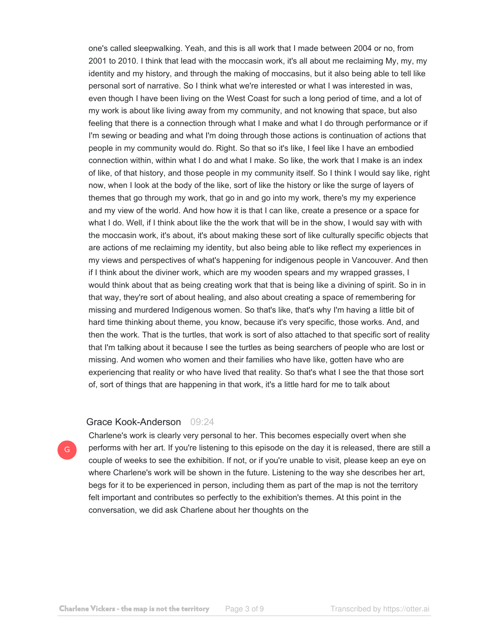one's called sleepwalking. Yeah, and this is all work that I made between 2004 or no, from 2001 to 2010. I think that lead with the moccasin work, it's all about me reclaiming My, my, my identity and my history, and through the making of moccasins, but it also being able to tell like personal sort of narrative. So I think what we're interested or what I was interested in was, even though I have been living on the West Coast for such a long period of time, and a lot of my work is about like living away from my community, and not knowing that space, but also feeling that there is a connection through what I make and what I do through performance or if I'm sewing or beading and what I'm doing through those actions is continuation of actions that people in my community would do. Right. So that so it's like, I feel like I have an embodied connection within, within what I do and what I make. So like, the work that I make is an index of like, of that history, and those people in my community itself. So I think I would say like, right now, when I look at the body of the like, sort of like the history or like the surge of layers of themes that go through my work, that go in and go into my work, there's my my experience and my view of the world. And how how it is that I can like, create a presence or a space for what I do. Well, if I think about like the the work that will be in the show, I would say with with the moccasin work, it's about, it's about making these sort of like culturally specific objects that are actions of me reclaiming my identity, but also being able to like reflect my experiences in my views and perspectives of what's happening for indigenous people in Vancouver. And then if I think about the diviner work, which are my wooden spears and my wrapped grasses, I would think about that as being creating work that that is being like a divining of spirit. So in in that way, they're sort of about healing, and also about creating a space of remembering for missing and murdered Indigenous women. So that's like, that's why I'm having a little bit of hard time thinking about theme, you know, because it's very specific, those works. And, and then the work. That is the turtles, that work is sort of also attached to that specific sort of reality that I'm talking about it because I see the turtles as being searchers of people who are lost or missing. And women who women and their families who have like, gotten have who are experiencing that reality or who have lived that reality. So that's what I see the that those sort of, sort of things that are happening in that work, it's a little hard for me to talk about

#### Grace Kook-Anderson 09:24

Charlene's work is clearly very personal to her. This becomes especially overt when she performs with her art. If you're listening to this episode on the day it is released, there are still a couple of weeks to see the exhibition. If not, or if you're unable to visit, please keep an eye on where Charlene's work will be shown in the future. Listening to the way she describes her art, begs for it to be experienced in person, including them as part of the map is not the territory felt important and contributes so perfectly to the exhibition's themes. At this point in the conversation, we did ask Charlene about her thoughts on the

G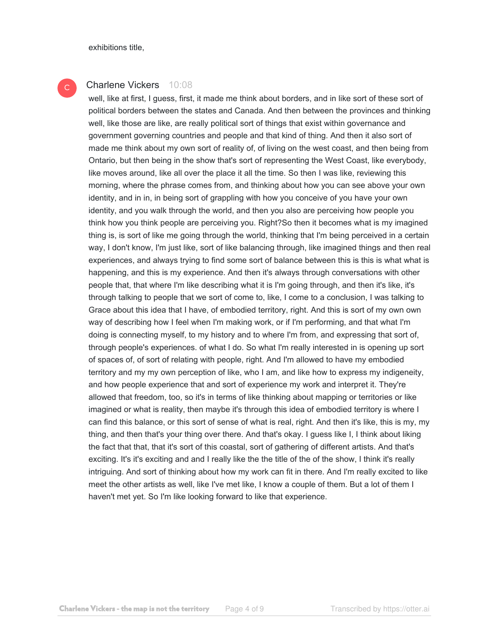exhibitions title,

#### Charlene Vickers 10:08 C

well, like at first, I guess, first, it made me think about borders, and in like sort of these sort of political borders between the states and Canada. And then between the provinces and thinking well, like those are like, are really political sort of things that exist within governance and government governing countries and people and that kind of thing. And then it also sort of made me think about my own sort of reality of, of living on the west coast, and then being from Ontario, but then being in the show that's sort of representing the West Coast, like everybody, like moves around, like all over the place it all the time. So then I was like, reviewing this morning, where the phrase comes from, and thinking about how you can see above your own identity, and in in, in being sort of grappling with how you conceive of you have your own identity, and you walk through the world, and then you also are perceiving how people you think how you think people are perceiving you. Right?So then it becomes what is my imagined thing is, is sort of like me going through the world, thinking that I'm being perceived in a certain way, I don't know, I'm just like, sort of like balancing through, like imagined things and then real experiences, and always trying to find some sort of balance between this is this is what what is happening, and this is my experience. And then it's always through conversations with other people that, that where I'm like describing what it is I'm going through, and then it's like, it's through talking to people that we sort of come to, like, I come to a conclusion, I was talking to Grace about this idea that I have, of embodied territory, right. And this is sort of my own own way of describing how I feel when I'm making work, or if I'm performing, and that what I'm doing is connecting myself, to my history and to where I'm from, and expressing that sort of, through people's experiences. of what I do. So what I'm really interested in is opening up sort of spaces of, of sort of relating with people, right. And I'm allowed to have my embodied territory and my my own perception of like, who I am, and like how to express my indigeneity, and how people experience that and sort of experience my work and interpret it. They're allowed that freedom, too, so it's in terms of like thinking about mapping or territories or like imagined or what is reality, then maybe it's through this idea of embodied territory is where I can find this balance, or this sort of sense of what is real, right. And then it's like, this is my, my thing, and then that's your thing over there. And that's okay. I guess like I, I think about liking the fact that that, that it's sort of this coastal, sort of gathering of different artists. And that's exciting. It's it's exciting and and I really like the the title of the of the show, I think it's really intriguing. And sort of thinking about how my work can fit in there. And I'm really excited to like meet the other artists as well, like I've met like, I know a couple of them. But a lot of them I haven't met yet. So I'm like looking forward to like that experience.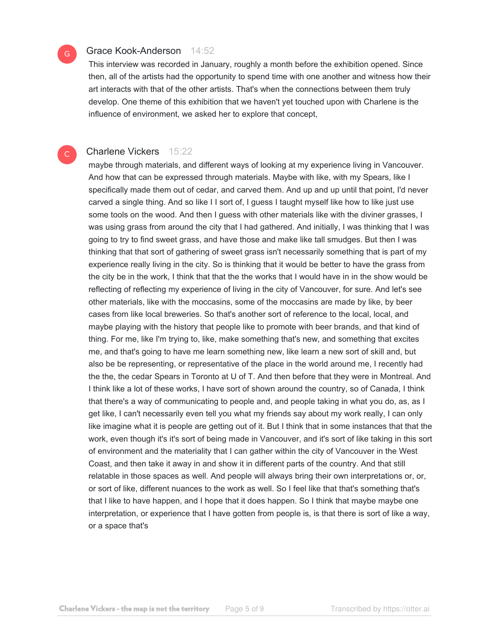# G

 $\mathsf{C}^{\scriptscriptstyle{+}}$ 

# Grace Kook-Anderson 14:52

This interview was recorded in January, roughly a month before the exhibition opened. Since then, all of the artists had the opportunity to spend time with one another and witness how their art interacts with that of the other artists. That's when the connections between them truly develop. One theme of this exhibition that we haven't yet touched upon with Charlene is the influence of environment, we asked her to explore that concept,

# Charlene Vickers 15:22

maybe through materials, and different ways of looking at my experience living in Vancouver. And how that can be expressed through materials. Maybe with like, with my Spears, like I specifically made them out of cedar, and carved them. And up and up until that point, I'd never carved a single thing. And so like I I sort of, I guess I taught myself like how to like just use some tools on the wood. And then I guess with other materials like with the diviner grasses, I was using grass from around the city that I had gathered. And initially, I was thinking that I was going to try to find sweet grass, and have those and make like tall smudges. But then I was thinking that that sort of gathering of sweet grass isn't necessarily something that is part of my experience really living in the city. So is thinking that it would be better to have the grass from the city be in the work, I think that that the the works that I would have in in the show would be reflecting of reflecting my experience of living in the city of Vancouver, for sure. And let's see other materials, like with the moccasins, some of the moccasins are made by like, by beer cases from like local breweries. So that's another sort of reference to the local, local, and maybe playing with the history that people like to promote with beer brands, and that kind of thing. For me, like I'm trying to, like, make something that's new, and something that excites me, and that's going to have me learn something new, like learn a new sort of skill and, but also be be representing, or representative of the place in the world around me, I recently had the the, the cedar Spears in Toronto at U of T. And then before that they were in Montreal. And I think like a lot of these works, I have sort of shown around the country, so of Canada, I think that there's a way of communicating to people and, and people taking in what you do, as, as I get like, I can't necessarily even tell you what my friends say about my work really, I can only like imagine what it is people are getting out of it. But I think that in some instances that that the work, even though it's it's sort of being made in Vancouver, and it's sort of like taking in this sort of environment and the materiality that I can gather within the city of Vancouver in the West Coast, and then take it away in and show it in different parts of the country. And that still relatable in those spaces as well. And people will always bring their own interpretations or, or, or sort of like, different nuances to the work as well. So I feel like that that's something that's that I like to have happen, and I hope that it does happen. So I think that maybe maybe one interpretation, or experience that I have gotten from people is, is that there is sort of like a way, or a space that's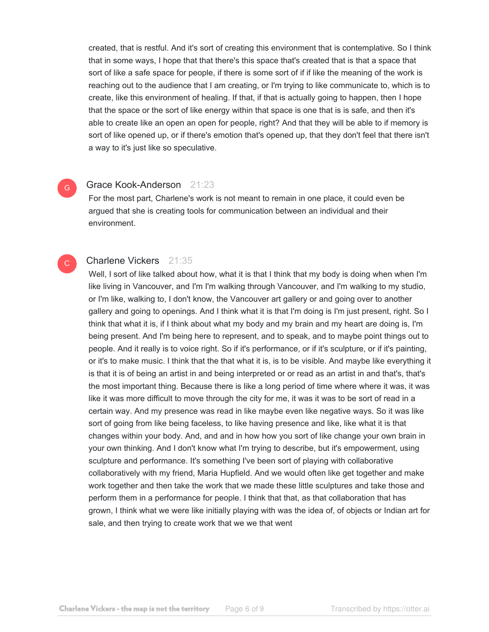created, that is restful. And it's sort of creating this environment that is contemplative. So I think that in some ways, I hope that that there's this space that's created that is that a space that sort of like a safe space for people, if there is some sort of if if like the meaning of the work is reaching out to the audience that I am creating, or I'm trying to like communicate to, which is to create, like this environment of healing. If that, if that is actually going to happen, then I hope that the space or the sort of like energy within that space is one that is is safe, and then it's able to create like an open an open for people, right? And that they will be able to if memory is sort of like opened up, or if there's emotion that's opened up, that they don't feel that there isn't a way to it's just like so speculative.

#### Grace Kook-Anderson 21:23

G

C

For the most part, Charlene's work is not meant to remain in one place, it could even be argued that she is creating tools for communication between an individual and their environment.

# Charlene Vickers 21:35

Well, I sort of like talked about how, what it is that I think that my body is doing when when I'm like living in Vancouver, and I'm I'm walking through Vancouver, and I'm walking to my studio, or I'm like, walking to, I don't know, the Vancouver art gallery or and going over to another gallery and going to openings. And I think what it is that I'm doing is I'm just present, right. So I think that what it is, if I think about what my body and my brain and my heart are doing is, I'm being present. And I'm being here to represent, and to speak, and to maybe point things out to people. And it really is to voice right. So if it's performance, or if it's sculpture, or if it's painting, or it's to make music. I think that the that what it is, is to be visible. And maybe like everything it is that it is of being an artist in and being interpreted or or read as an artist in and that's, that's the most important thing. Because there is like a long period of time where where it was, it was like it was more difficult to move through the city for me, it was it was to be sort of read in a certain way. And my presence was read in like maybe even like negative ways. So it was like sort of going from like being faceless, to like having presence and like, like what it is that changes within your body. And, and and in how how you sort of like change your own brain in your own thinking. And I don't know what I'm trying to describe, but it's empowerment, using sculpture and performance. It's something I've been sort of playing with collaborative collaboratively with my friend, Maria Hupfield. And we would often like get together and make work together and then take the work that we made these little sculptures and take those and perform them in a performance for people. I think that that, as that collaboration that has grown, I think what we were like initially playing with was the idea of, of objects or Indian art for sale, and then trying to create work that we we that went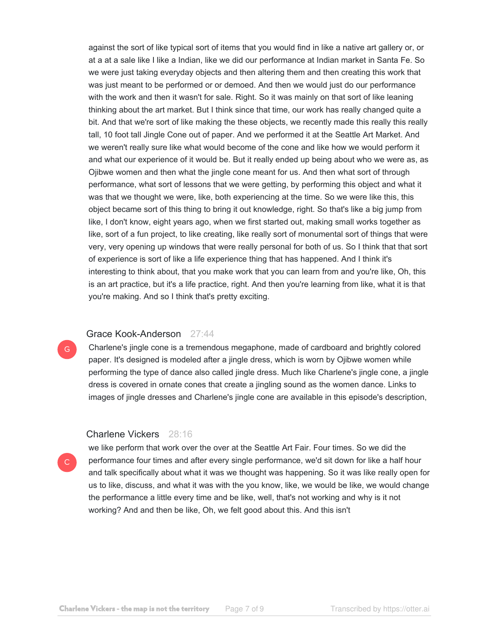against the sort of like typical sort of items that you would find in like a native art gallery or, or at a at a sale like I like a Indian, like we did our performance at Indian market in Santa Fe. So we were just taking everyday objects and then altering them and then creating this work that was just meant to be performed or or demoed. And then we would just do our performance with the work and then it wasn't for sale. Right. So it was mainly on that sort of like leaning thinking about the art market. But I think since that time, our work has really changed quite a bit. And that we're sort of like making the these objects, we recently made this really this really tall, 10 foot tall Jingle Cone out of paper. And we performed it at the Seattle Art Market. And we weren't really sure like what would become of the cone and like how we would perform it and what our experience of it would be. But it really ended up being about who we were as, as Ojibwe women and then what the jingle cone meant for us. And then what sort of through performance, what sort of lessons that we were getting, by performing this object and what it was that we thought we were, like, both experiencing at the time. So we were like this, this object became sort of this thing to bring it out knowledge, right. So that's like a big jump from like, I don't know, eight years ago, when we first started out, making small works together as like, sort of a fun project, to like creating, like really sort of monumental sort of things that were very, very opening up windows that were really personal for both of us. So I think that that sort of experience is sort of like a life experience thing that has happened. And I think it's interesting to think about, that you make work that you can learn from and you're like, Oh, this is an art practice, but it's a life practice, right. And then you're learning from like, what it is that you're making. And so I think that's pretty exciting.

#### Grace Kook-Anderson 27:44

Charlene's jingle cone is a tremendous megaphone, made of cardboard and brightly colored paper. It's designed is modeled after a jingle dress, which is worn by Ojibwe women while performing the type of dance also called jingle dress. Much like Charlene's jingle cone, a jingle dress is covered in ornate cones that create a jingling sound as the women dance. Links to images of jingle dresses and Charlene's jingle cone are available in this episode's description,

#### Charlene Vickers 28:16

we like perform that work over the over at the Seattle Art Fair. Four times. So we did the performance four times and after every single performance, we'd sit down for like a half hour and talk specifically about what it was we thought was happening. So it was like really open for us to like, discuss, and what it was with the you know, like, we would be like, we would change the performance a little every time and be like, well, that's not working and why is it not working? And and then be like, Oh, we felt good about this. And this isn't

G

 $\mathsf{C}$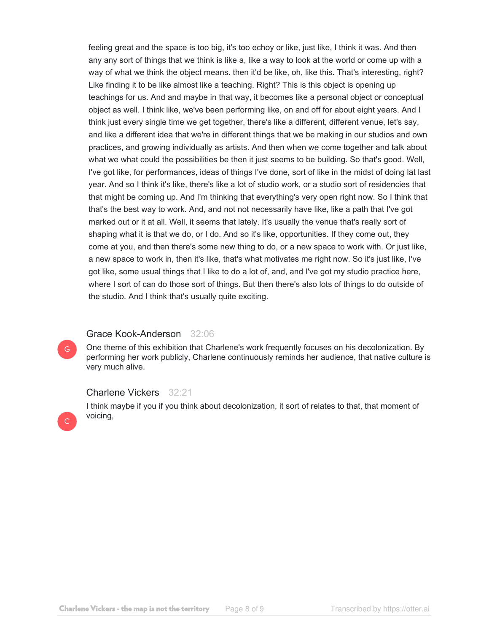feeling great and the space is too big, it's too echoy or like, just like, I think it was. And then any any sort of things that we think is like a, like a way to look at the world or come up with a way of what we think the object means. then it'd be like, oh, like this. That's interesting, right? Like finding it to be like almost like a teaching. Right? This is this object is opening up teachings for us. And and maybe in that way, it becomes like a personal object or conceptual object as well. I think like, we've been performing like, on and off for about eight years. And I think just every single time we get together, there's like a different, different venue, let's say, and like a different idea that we're in different things that we be making in our studios and own practices, and growing individually as artists. And then when we come together and talk about what we what could the possibilities be then it just seems to be building. So that's good. Well, I've got like, for performances, ideas of things I've done, sort of like in the midst of doing lat last year. And so I think it's like, there's like a lot of studio work, or a studio sort of residencies that that might be coming up. And I'm thinking that everything's very open right now. So I think that that's the best way to work. And, and not not necessarily have like, like a path that I've got marked out or it at all. Well, it seems that lately. It's usually the venue that's really sort of shaping what it is that we do, or I do. And so it's like, opportunities. If they come out, they come at you, and then there's some new thing to do, or a new space to work with. Or just like, a new space to work in, then it's like, that's what motivates me right now. So it's just like, I've got like, some usual things that I like to do a lot of, and, and I've got my studio practice here, where I sort of can do those sort of things. But then there's also lots of things to do outside of the studio. And I think that's usually quite exciting.

# Grace Kook-Anderson 32:06

One theme of this exhibition that Charlene's work frequently focuses on his decolonization. By performing her work publicly, Charlene continuously reminds her audience, that native culture is very much alive.

# Charlene Vickers 32:21

I think maybe if you if you think about decolonization, it sort of relates to that, that moment of **C** voicing,